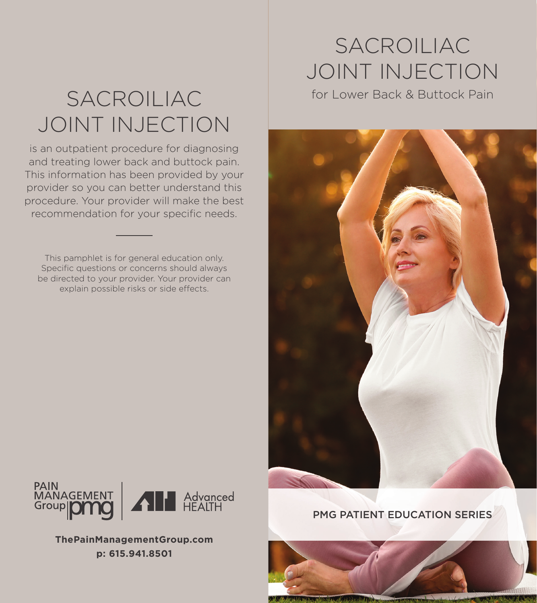## SACROILIAC JOINT INJECTION

is an outpatient procedure for diagnosing and treating lower back and buttock pain. This information has been provided by your provider so you can better understand this procedure. Your provider will make the best recommendation for your specific needs.

This pamphlet is for general education only. Specific questions or concerns should always be directed to your provider. Your provider can explain possible risks or side effects.

## SACROILIAC JOINT INJECTION

for Lower Back & Buttock Pain





**ThePainManagementGroup.com p: 615.941.8501**

### PMG PATIENT EDUCATION SERIES